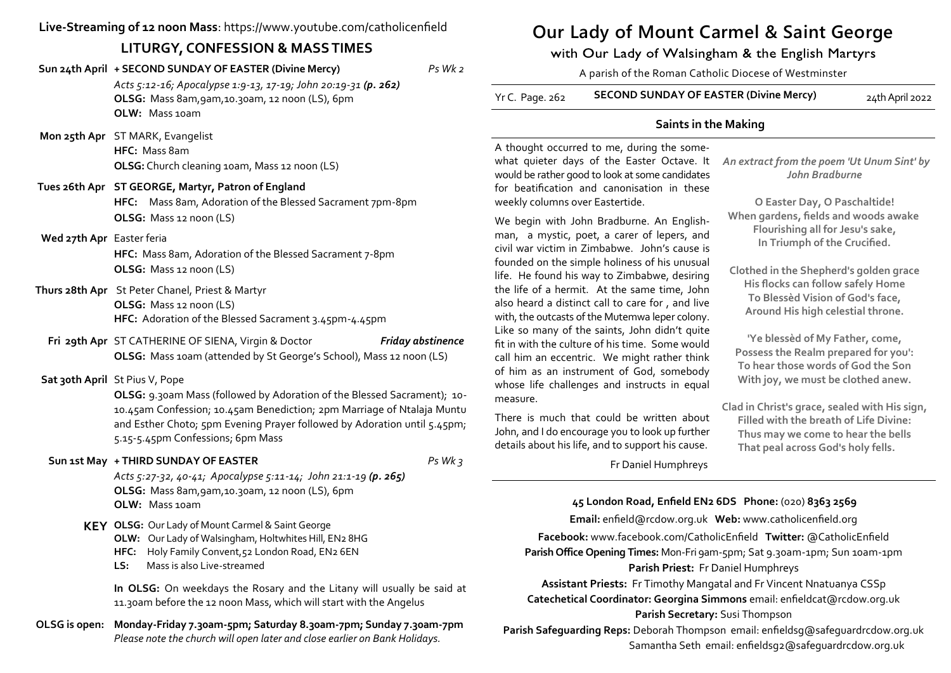### **Live-Streaming of 12 noon Mass**: https://www.youtube.com/catholicenfield

# **LITURGY, CONFESSION & MASS TIMES**

**Sun 24th April + SECOND SUNDAY OF EASTER (Divine Mercy)** *Ps Wk 2 Acts 5:12-16; Apocalypse 1:9-13, 17-19; John 20:19-31 (p. 262)* **OLSG:** Mass 8am,9am,10.30am, 12 noon (LS), 6pm **OLW:** Mass 10am  **Mon 25th Apr** ST MARK, Evangelist **HFC:** Mass 8am **OLSG:** Church cleaning 10am, Mass 12 noon (LS) **Tues 26th Apr ST GEORGE, Martyr, Patron of England HFC:** Mass 8am, Adoration of the Blessed Sacrament 7pm-8pm **OLSG:** Mass 12 noon (LS)

**Wed 27th Apr** Easter feria

**HFC:** Mass 8am, Adoration of the Blessed Sacrament 7-8pm **OLSG:** Mass 12 noon (LS)

- **Thurs 28th Apr** St Peter Chanel, Priest & Martyr **OLSG:** Mass 12 noon (LS) **HFC:** Adoration of the Blessed Sacrament 3.45pm-4.45pm
- **Fri 29th Apr** ST CATHERINE OF SIENA, Virgin & Doctor *Friday abstinence* **OLSG:** Mass 10am (attended by St George's School), Mass 12 noon (LS)

#### **Sat 30th April** St Pius V, Pope

**OLSG:** 9.30am Mass (followed by Adoration of the Blessed Sacrament); 10- 10.45am Confession; 10.45am Benediction; 2pm Marriage of Ntalaja Muntu and Esther Choto; 5pm Evening Prayer followed by Adoration until 5.45pm; 5.15-5.45pm Confessions; 6pm Mass

### **Sun 1st May + THIRD SUNDAY OF EASTER** *Ps Wk 3*

*Acts 5:27-32, 40-41; Apocalypse 5:11-14; John 21:1-19 (p. 265)* **OLSG:** Mass 8am,9am,10.30am, 12 noon (LS), 6pm **OLW:** Mass 10am

- **KEY OLSG:** Our Lady of Mount Carmel & Saint George
	- **OLW:** Our Lady of Walsingham, Holtwhites Hill, EN2 8HG
	- **HFC:** Holy Family Convent,52 London Road, EN2 6EN
	- **LS:** Mass is also Live-streamed

**In OLSG:** On weekdays the Rosary and the Litany will usually be said at 11.30am before the 12 noon Mass, which will start with the Angelus

**OLSG is open: Monday-Friday 7.30am-5pm; Saturday 8.30am-7pm; Sunday 7.30am-7pm** *Please note the church will open later and close earlier on Bank Holidays.*

# **Our Lady of Mount Carmel & Saint George**

with Our Lady of Walsingham & the English Martyrs

A parish of the Roman Catholic Diocese of Westminster

Yr C. Page. 262 **SECOND SUNDAY OF EASTER (Divine Mercy)** 24th April 2022

## **Saints in the Making**

A thought occurred to me, during the somewhat quieter days of the Easter Octave. It would be rather good to look at some candidates for beatification and canonisation in these weekly columns over Eastertide.

We begin with John Bradburne. An Englishman, a mystic, poet, a carer of lepers, and civil war victim in Zimbabwe. John's cause is founded on the simple holiness of his unusual life. He found his way to Zimbabwe, desiring the life of a hermit. At the same time, John also heard a distinct call to care for , and live with, the outcasts of the Mutemwa leper colony. Like so many of the saints, John didn't quite fit in with the culture of his time. Some would call him an eccentric. We might rather think of him as an instrument of God, somebody whose life challenges and instructs in equal measure.

There is much that could be written about John, and I do encourage you to look up further details about his life, and to support his cause.

*An extract from the poem 'Ut Unum Sint' by John Bradburne*

**O Easter Day, O Paschaltide! When gardens, fields and woods awake Flourishing all for Jesu's sake, In Triumph of the Crucified.**

**Clothed in the Shepherd's golden grace His flocks can follow safely Home To Blessèd Vision of God's face, Around His high celestial throne.**

**'Ye blessèd of My Father, come, Possess the Realm prepared for you': To hear those words of God the Son With joy, we must be clothed anew.**

**Clad in Christ's grace, sealed with His sign, Filled with the breath of Life Divine: Thus may we come to hear the bells That peal across God's holy fells.**

Fr Daniel Humphreys

### **45 London Road, Enfield EN2 6DS Phone:** (020) **8363 2569**

**Email:** enfield@rcdow.org.uk **Web:** www.catholicenfield.org

**Facebook:** www.facebook.com/CatholicEnfield **Twitter:** @CatholicEnfield **Parish Office Opening Times:** Mon-Fri 9am-5pm; Sat 9.30am-1pm; Sun 10am-1pm **Parish Priest:** Fr Daniel Humphreys

**Assistant Priests:** Fr Timothy Mangatal and Fr Vincent Nnatuanya CSSp **Catechetical Coordinator: Georgina Simmons** email: enfieldcat@rcdow.org.uk **Parish Secretary:** Susi Thompson

**Parish Safeguarding Reps:** Deborah Thompson email: enfieldsg@safeguardrcdow.org.uk Samantha Seth email: enfieldsg2@safeguardrcdow.org.uk